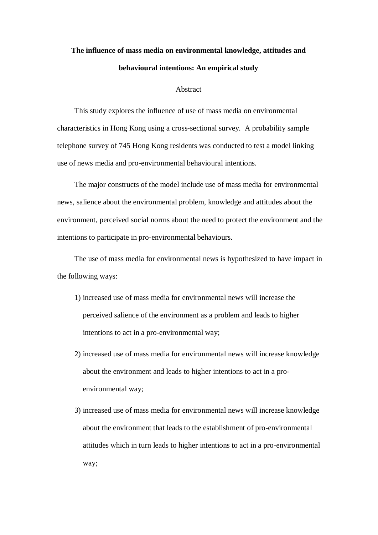## **The influence of mass media on environmental knowledge, attitudes and behavioural intentions: An empirical study**

## Abstract

This study explores the influence of use of mass media on environmental characteristics in Hong Kong using a cross-sectional survey. A probability sample telephone survey of 745 Hong Kong residents was conducted to test a model linking use of news media and pro-environmental behavioural intentions.

The major constructs of the model include use of mass media for environmental news, salience about the environmental problem, knowledge and attitudes about the environment, perceived social norms about the need to protect the environment and the intentions to participate in pro-environmental behaviours.

The use of mass media for environmental news is hypothesized to have impact in the following ways:

- 1) increased use of mass media for environmental news will increase the perceived salience of the environment as a problem and leads to higher intentions to act in a pro-environmental way;
- 2) increased use of mass media for environmental news will increase knowledge about the environment and leads to higher intentions to act in a proenvironmental way;
- 3) increased use of mass media for environmental news will increase knowledge about the environment that leads to the establishment of pro-environmental attitudes which in turn leads to higher intentions to act in a pro-environmental way;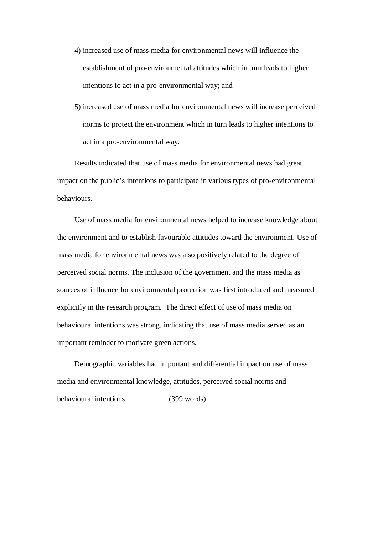- 4) increased use of mass media for environmental news will influence the establishment of pro-environmental attitudes which in turn leads to higher intentions to act in a pro-environmental way; and
- 5) increased use of mass media for environmental news will increase perceived norms to protect the environment which in turn leads to higher intentions to act in a pro-environmental way.

Results indicated that use of mass media for environmental news had great impact on the public's intentions to participate in various types of pro-environmental behaviours.

Use of mass media for environmental news helped to increase knowledge about the environment and to establish favourable attitudes toward the environment. Use of mass media for environmental news was also positively related to the degree of perceived social norms. The inclusion of the government and the mass media as sources of influence for environmental protection was first introduced and measured explicitly in the research program. The direct effect of use of mass media on behavioural intentions was strong, indicating that use of mass media served as an important reminder to motivate green actions.

Demographic variables had important and differential impact on use of mass media and environmental knowledge, attitudes, perceived social norms and behavioural intentions. (399 words)